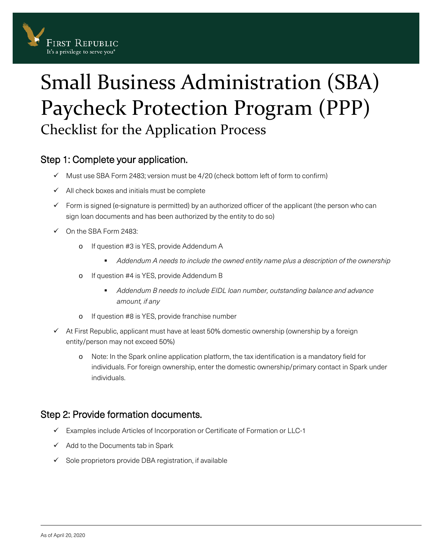

# Small Business Administration (SBA) Paycheck Protection Program (PPP) Checklist for the Application Process

## Step 1: Complete your application.

- $\checkmark$  Must use SBA Form 2483; version must be 4/20 (check bottom left of form to confirm)
- $\checkmark$  All check boxes and initials must be complete
- $\checkmark$  Form is signed (e-signature is permitted) by an authorized officer of the applicant (the person who can sign loan documents and has been authorized by the entity to do so)
- On the SBA Form 2483:
	- o If question #3 is YES, provide Addendum A
		- *Addendum A needs to include the owned entity name plus a description of the ownership*
	- o If question #4 is YES, provide Addendum B
		- *Addendum B needs to include EIDL loan number, outstanding balance and advance amount, if any*
	- o If question #8 is YES, provide franchise number
- $\checkmark$  At First Republic, applicant must have at least 50% domestic ownership (ownership by a foreign entity/person may not exceed 50%)
	- o Note: In the Spark online application platform, the tax identification is a mandatory field for individuals. For foreign ownership, enter the domestic ownership/primary contact in Spark under individuals.

## Step 2: Provide formation documents.

- Examples include Articles of Incorporation or Certificate of Formation or LLC-1
- $\checkmark$  Add to the Documents tab in Spark
- $\checkmark$  Sole proprietors provide DBA registration, if available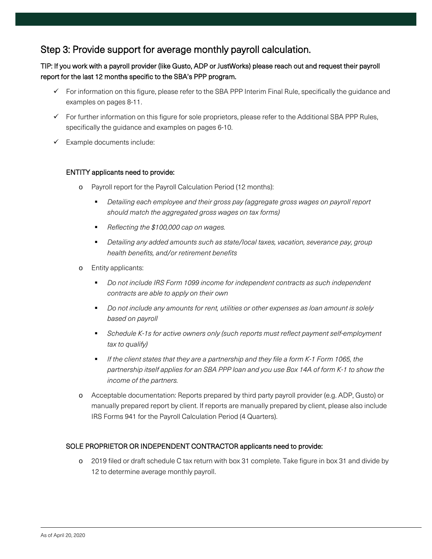### Step 3: Provide support for average monthly payroll calculation.

#### TIP: If you work with a payroll provider (like Gusto, ADP or JustWorks) please reach out and request their payroll report for the last 12 months specific to the SBA's PPP program.

- $\checkmark$  For information on this figure, please refer to the SBA PPP Interim Final Rule, specifically the guidance and examples on pages 8-11.
- $\checkmark$  For further information on this figure for sole proprietors, please refer to the Additional SBA PPP Rules, specifically the guidance and examples on pages 6-10.
- $\checkmark$  Example documents include:

#### ENTITY applicants need to provide:

- o Payroll report for the Payroll Calculation Period (12 months):
	- *Detailing each employee and their gross pay (aggregate gross wages on payroll report should match the aggregated gross wages on tax forms)*
	- *Reflecting the \$100,000 cap on wages.*
	- *Detailing any added amounts such as state/local taxes, vacation, severance pay, group health benefits, and/or retirement benefits*
- o Entity applicants:
	- *Do not include IRS Form 1099 income for independent contracts as such independent contracts are able to apply on their own*
	- *Do not include any amounts for rent, utilities or other expenses as loan amount is solely based on payroll*
	- *Schedule K-1s for active owners only (such reports must reflect payment self-employment tax to qualify)*
	- *If the client states that they are a partnership and they file a form K-1 Form 1065, the partnership itself applies for an SBA PPP loan and you use Box 14A of form K-1 to show the income of the partners.*
- o Acceptable documentation: Reports prepared by third party payroll provider (e.g. ADP, Gusto) or manually prepared report by client. If reports are manually prepared by client, please also include IRS Forms 941 for the Payroll Calculation Period (4 Quarters).

#### SOLE PROPRIETOR OR INDEPENDENT CONTRACTOR applicants need to provide:

o 2019 filed or draft schedule C tax return with box 31 complete. Take figure in box 31 and divide by 12 to determine average monthly payroll.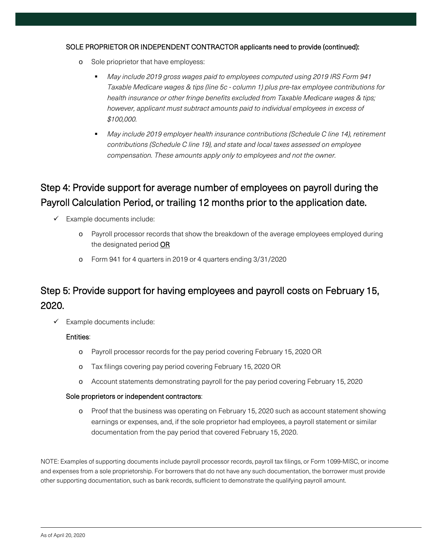#### SOLE PROPRIETOR OR INDEPENDENT CONTRACTOR applicants need to provide (continued):

- o Sole prioprietor that have employess:
	- *May include 2019 gross wages paid to employees computed using 2019 IRS Form 941 Taxable Medicare wages & tips (line 5c - column 1) plus pre-tax employee contributions for health insurance or other fringe benefits excluded from Taxable Medicare wages & tips; however, applicant must subtract amounts paid to individual employees in excess of \$100,000.*
	- *May include 2019 employer health insurance contributions (Schedule C line 14), retirement contributions (Schedule C line 19), and state and local taxes assessed on employee compensation. These amounts apply only to employees and not the owner.*

# Step 4: Provide support for average number of employees on payroll during the Payroll Calculation Period, or trailing 12 months prior to the application date.

- $\checkmark$  Example documents include:
	- o Payroll processor records that show the breakdown of the average employees employed during the designated period OR
	- o Form 941 for 4 quarters in 2019 or 4 quarters ending 3/31/2020

# Step 5: Provide support for having employees and payroll costs on February 15, 2020.

 $\checkmark$  Example documents include:

#### Entities:

- o Payroll processor records for the pay period covering February 15, 2020 OR
- o Tax filings covering pay period covering February 15, 2020 OR
- o Account statements demonstrating payroll for the pay period covering February 15, 2020

#### Sole proprietors or independent contractors:

o Proof that the business was operating on February 15, 2020 such as account statement showing earnings or expenses, and, if the sole proprietor had employees, a payroll statement or similar documentation from the pay period that covered February 15, 2020.

NOTE: Examples of supporting documents include payroll processor records, payroll tax filings, or Form 1099-MISC, or income and expenses from a sole proprietorship. For borrowers that do not have any such documentation, the borrower must provide other supporting documentation, such as bank records, sufficient to demonstrate the qualifying payroll amount.